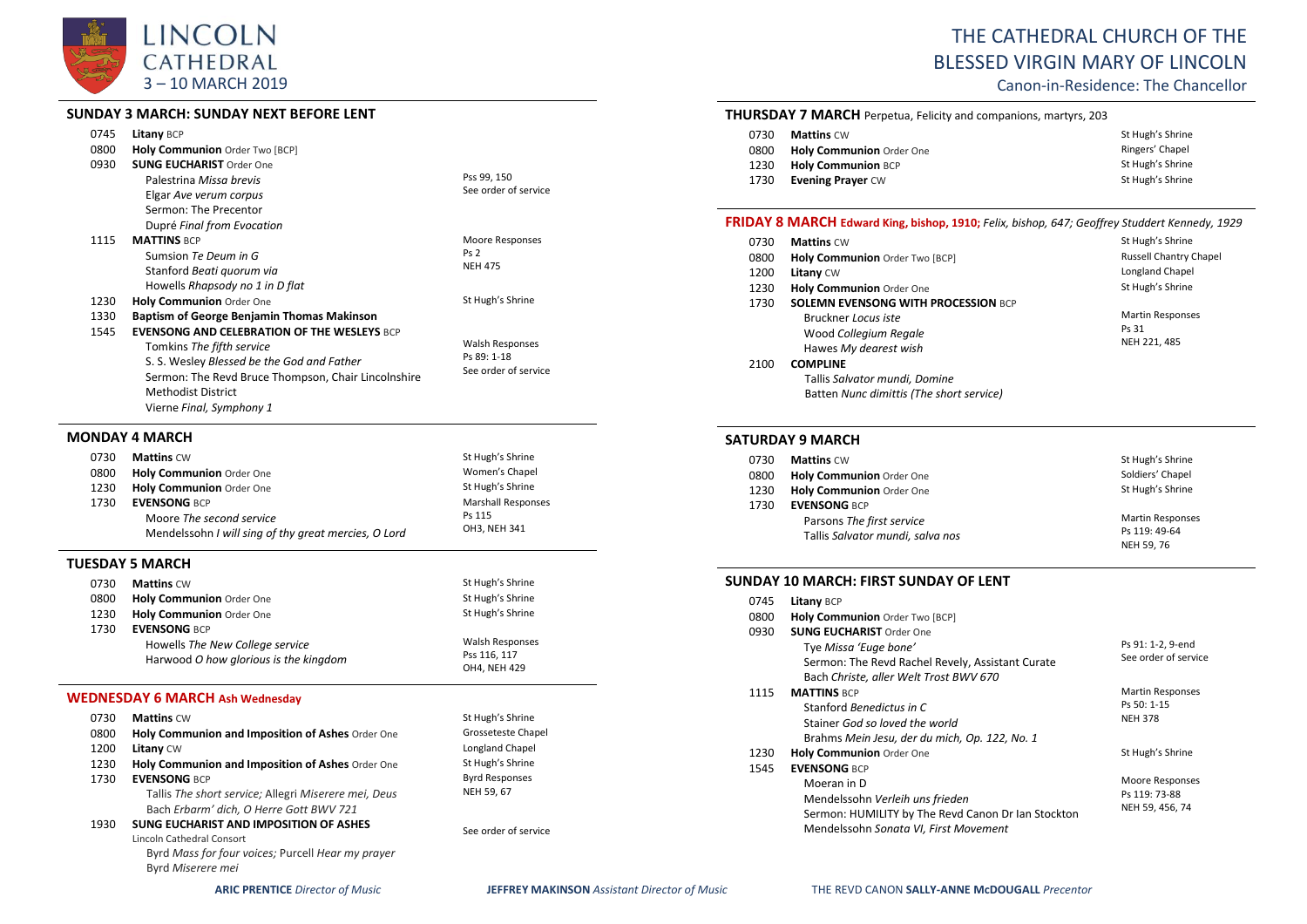

#### **SUNDAY 3 MARCH: SUNDAY NEXT BEFORE LENT**

| 0745<br>0800 | <b>Litany BCP</b><br><b>Holy Communion</b> Order Two [BCP]                                                                                                                                                                                    |                                                        |
|--------------|-----------------------------------------------------------------------------------------------------------------------------------------------------------------------------------------------------------------------------------------------|--------------------------------------------------------|
| 0930         | <b>SUNG EUCHARIST Order One</b><br>Palestrina Missa brevis<br>Elgar Ave verum corpus<br>Sermon: The Precentor<br>Dupré Final from Evocation                                                                                                   | Pss 99, 150<br>See order of service                    |
| 1115         | <b>MATTINS BCP</b><br>Sumsion Te Deum in G<br>Stanford Beati quorum via<br>Howells Rhapsody no 1 in D flat                                                                                                                                    | Moore Responses<br>Ps <sub>2</sub><br><b>NEH 475</b>   |
| 1230<br>1330 | Holy Communion Order One<br><b>Baptism of George Benjamin Thomas Makinson</b>                                                                                                                                                                 | St Hugh's Shrine                                       |
| 1545         | <b>EVENSONG AND CELEBRATION OF THE WESLEYS BCP</b><br>Tomkins The fifth service<br>S. S. Wesley Blessed be the God and Father<br>Sermon: The Revd Bruce Thompson, Chair Lincolnshire<br><b>Methodist District</b><br>Vierne Final, Symphony 1 | Walsh Responses<br>Ps 89: 1-18<br>See order of service |

## **MONDAY 4 MARCH**

| 0730 | <b>Mattins CW</b>                                                                | St Hugh's Shrine          |
|------|----------------------------------------------------------------------------------|---------------------------|
| 0800 | <b>Holy Communion Order One</b>                                                  | Women's Chapel            |
| 1230 | <b>Holy Communion Order One</b>                                                  | St Hugh's Shrine          |
| 1730 | <b>EVENSONG BCP</b>                                                              | <b>Marshall Responses</b> |
|      | Moore The second service<br>Mendelssohn I will sing of thy great mercies, O Lord | Ps 115<br>OH3. NEH 341    |

#### **TUESDAY 5 MARCH**

| 0730 | <b>Mattins CW</b>                     | St Hugh's Shrine       |
|------|---------------------------------------|------------------------|
| 0800 | <b>Holy Communion Order One</b>       | St Hugh's Shrine       |
| 1230 | Holy Communion Order One              | St Hugh's Shrine       |
| 1730 | <b>EVENSONG BCP</b>                   |                        |
|      | Howells The New College service       | <b>Walsh Responses</b> |
|      | Harwood O how glorious is the kingdom | Pss 116, 117           |
|      |                                       | OH4, NEH 429           |

## **WEDNESDAY 6 MARCH Ash Wednesday**

| 0730 | <b>Mattins CW</b>                                                                                                               | St Hugh's Shrine      |
|------|---------------------------------------------------------------------------------------------------------------------------------|-----------------------|
| 0800 | Holy Communion and Imposition of Ashes Order One                                                                                | Grosseteste Chapel    |
| 1200 | <b>Litany CW</b>                                                                                                                | Longland Chapel       |
| 1230 | Holy Communion and Imposition of Ashes Order One                                                                                | St Hugh's Shrine      |
| 1730 | <b>EVENSONG BCP</b>                                                                                                             | <b>Byrd Responses</b> |
|      | Tallis The short service; Allegri Miserere mei, Deus<br>Bach Erbarm' dich, O Herre Gott BWV 721                                 | NEH 59, 67            |
| 1930 | <b>SUNG EUCHARIST AND IMPOSITION OF ASHES</b><br>Lincoln Cathedral Consort<br>Byrd Mass for four voices; Purcell Hear my prayer | See order of service  |
|      | Byrd Miserere mei                                                                                                               |                       |

# THE CATHEDRAL CHURCH OF THE BLESSED VIRGIN MARY OF LINCOLN

Canon-in-Residence: The Chancellor

#### **THURSDAY 7 MARCH** Perpetua, Felicity and companions, martyrs, 203

| 0730 | <b>Mattins CW</b>         | St Hugh's Shrine |
|------|---------------------------|------------------|
| 0800 | Holy Communion Order One  | Ringers' Chapel  |
| 1230 | <b>Holy Communion BCP</b> | St Hugh's Shrine |
| 1730 | <b>Evening Prayer CW</b>  | St Hugh's Shrine |

#### **FRIDAY 8 MARCH Edward King, bishop, 1910;** *Felix, bishop, 647; Geoffrey Studdert Kennedy, 1929*

| 0730 | <b>Mattins CW</b>                          | St Hugh's Shrine              |
|------|--------------------------------------------|-------------------------------|
| 0800 | Holy Communion Order Two [BCP]             | <b>Russell Chantry Chapel</b> |
| 1200 | <b>Litany CW</b>                           | Longland Chapel               |
| 1230 | Holy Communion Order One                   | St Hugh's Shrine              |
| 1730 | <b>SOLEMN EVENSONG WITH PROCESSION BCP</b> |                               |
|      | Bruckner Locus iste                        | <b>Martin Responses</b>       |
|      | Wood Collegium Regale                      | Ps 31                         |
|      | Hawes My dearest wish                      | NEH 221, 485                  |
| 2100 | <b>COMPLINE</b>                            |                               |
|      | Tallis Salvator mundi, Domine              |                               |
|      | Batten Nunc dimittis (The short service)   |                               |

#### **SATURDAY 9 MARCH**

| 0730 | <b>Mattins CW</b>                | St Hugh's Shrine        |
|------|----------------------------------|-------------------------|
| 0800 | Holy Communion Order One         | Soldiers' Chapel        |
| 1230 | Holy Communion Order One         | St Hugh's Shrine        |
| 1730 | <b>EVENSONG BCP</b>              |                         |
|      | Parsons The first service        | <b>Martin Responses</b> |
|      | Tallis Salvator mundi, salva nos | Ps 119: 49-64           |
|      |                                  | NEH 59, 76              |

## **SUNDAY 10 MARCH: FIRST SUNDAY OF LENT**

| 0745 | <b>Litany BCP</b>                                  |                         |
|------|----------------------------------------------------|-------------------------|
| 0800 | Holy Communion Order Two [BCP]                     |                         |
| 0930 | <b>SUNG EUCHARIST Order One</b>                    |                         |
|      | Tye Missa 'Euge bone'                              | Ps 91: 1-2, 9-end       |
|      | Sermon: The Revd Rachel Revely, Assistant Curate   | See order of service    |
|      | Bach Christe, aller Welt Trost BWV 670             |                         |
| 1115 | <b>MATTINS BCP</b>                                 | <b>Martin Responses</b> |
|      | Stanford Benedictus in C                           | Ps 50: 1-15             |
|      | Stainer God so loved the world                     | <b>NEH 378</b>          |
|      | Brahms Mein Jesu, der du mich, Op. 122, No. 1      |                         |
| 1230 | <b>Holy Communion Order One</b>                    | St Hugh's Shrine        |
| 1545 | <b>EVENSONG BCP</b>                                |                         |
|      | Moeran in D                                        | Moore Responses         |
|      | Mendelssohn Verleih uns frieden                    | Ps 119: 73-88           |
|      | Sermon: HUMILITY by The Revd Canon Dr Ian Stockton | NEH 59, 456, 74         |
|      | Mendelssohn Sonata VI, First Movement              |                         |